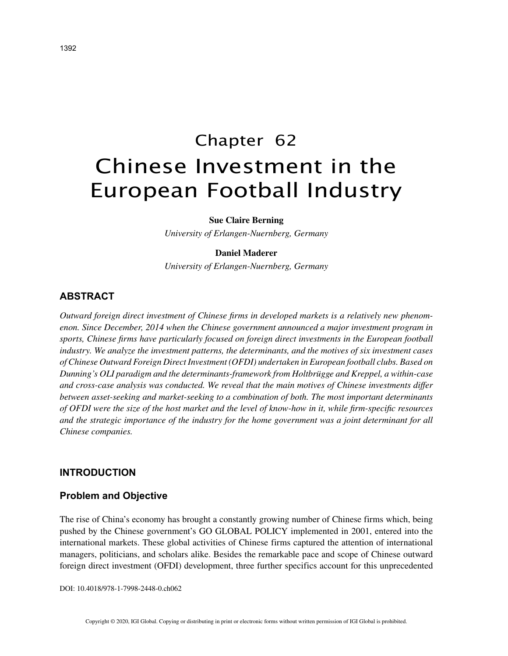# Chapter 62 Chinese Investment in the European Football Industry

#### **Sue Claire Berning**

*University of Erlangen-Nuernberg, Germany*

## **Daniel Maderer**

*University of Erlangen-Nuernberg, Germany*

# **ABSTRACT**

*Outward foreign direct investment of Chinese firms in developed markets is a relatively new phenomenon. Since December, 2014 when the Chinese government announced a major investment program in sports, Chinese firms have particularly focused on foreign direct investments in the European football industry. We analyze the investment patterns, the determinants, and the motives of six investment cases of Chinese Outward Foreign Direct Investment (OFDI) undertaken in European football clubs. Based on Dunning's OLI paradigm and the determinants-framework from Holtbrügge and Kreppel, a within-case and cross-case analysis was conducted. We reveal that the main motives of Chinese investments differ between asset-seeking and market-seeking to a combination of both. The most important determinants of OFDI were the size of the host market and the level of know-how in it, while firm-specific resources and the strategic importance of the industry for the home government was a joint determinant for all Chinese companies.*

#### **INTRODUCTION**

## **Problem and Objective**

The rise of China's economy has brought a constantly growing number of Chinese firms which, being pushed by the Chinese government's GO GLOBAL POLICY implemented in 2001, entered into the international markets. These global activities of Chinese firms captured the attention of international managers, politicians, and scholars alike. Besides the remarkable pace and scope of Chinese outward foreign direct investment (OFDI) development, three further specifics account for this unprecedented

DOI: 10.4018/978-1-7998-2448-0.ch062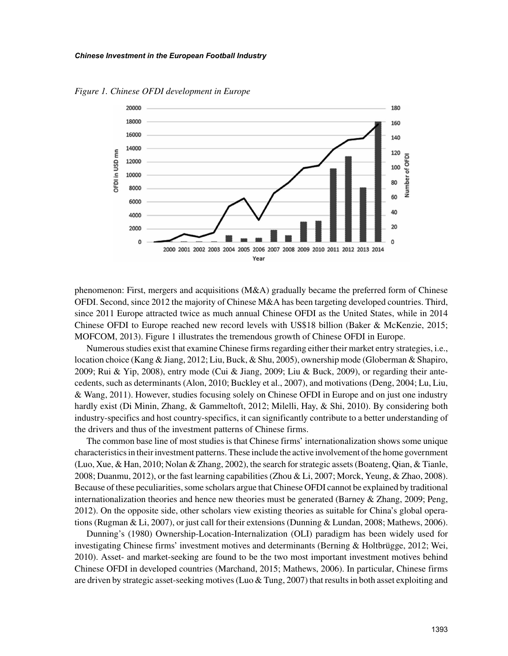

*Figure 1. Chinese OFDI development in Europe*

phenomenon: First, mergers and acquisitions  $(M&A)$  gradually became the preferred form of Chinese OFDI. Second, since 2012 the majority of Chinese M&A has been targeting developed countries. Third, since 2011 Europe attracted twice as much annual Chinese OFDI as the United States, while in 2014 Chinese OFDI to Europe reached new record levels with US\$18 billion (Baker & McKenzie, 2015; MOFCOM, 2013). Figure 1 illustrates the tremendous growth of Chinese OFDI in Europe.

Numerous studies exist that examine Chinese firms regarding either their market entry strategies, i.e., location choice (Kang & Jiang, 2012; Liu, Buck, & Shu, 2005), ownership mode (Globerman & Shapiro, 2009; Rui & Yip, 2008), entry mode (Cui & Jiang, 2009; Liu & Buck, 2009), or regarding their antecedents, such as determinants (Alon, 2010; Buckley et al., 2007), and motivations (Deng, 2004; Lu, Liu, & Wang, 2011). However, studies focusing solely on Chinese OFDI in Europe and on just one industry hardly exist (Di Minin, Zhang, & Gammeltoft, 2012; Milelli, Hay, & Shi, 2010). By considering both industry-specifics and host country-specifics, it can significantly contribute to a better understanding of the drivers and thus of the investment patterns of Chinese firms.

The common base line of most studies is that Chinese firms' internationalization shows some unique characteristics in their investment patterns. These include the active involvement of the home government (Luo, Xue, & Han, 2010; Nolan & Zhang, 2002), the search for strategic assets (Boateng, Qian, & Tianle, 2008; Duanmu, 2012), or the fast learning capabilities (Zhou & Li, 2007; Morck, Yeung, & Zhao, 2008). Because of these peculiarities, some scholars argue that Chinese OFDI cannot be explained by traditional internationalization theories and hence new theories must be generated (Barney & Zhang, 2009; Peng, 2012). On the opposite side, other scholars view existing theories as suitable for China's global operations (Rugman & Li, 2007), or just call for their extensions (Dunning & Lundan, 2008; Mathews, 2006).

Dunning's (1980) Ownership-Location-Internalization (OLI) paradigm has been widely used for investigating Chinese firms' investment motives and determinants (Berning & Holtbrügge, 2012; Wei, 2010). Asset- and market-seeking are found to be the two most important investment motives behind Chinese OFDI in developed countries (Marchand, 2015; Mathews, 2006). In particular, Chinese firms are driven by strategic asset-seeking motives (Luo & Tung, 2007) that results in both asset exploiting and